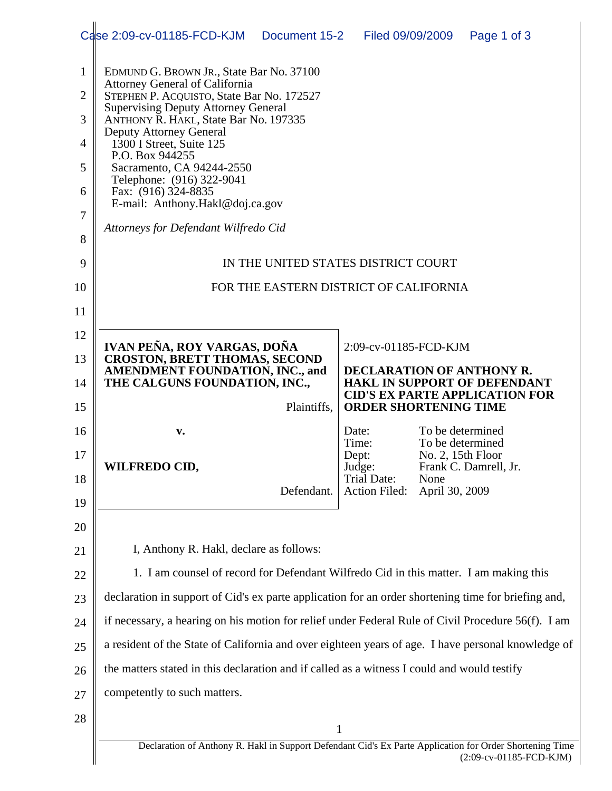|                | Case 2:09-cv-01185-FCD-KJM                                                                                                                        | Document 15-2 | Filed 09/09/2009                    |                                      | Page 1 of 3                                                                                                                                                                                               |  |  |  |  |  |  |
|----------------|---------------------------------------------------------------------------------------------------------------------------------------------------|---------------|-------------------------------------|--------------------------------------|-----------------------------------------------------------------------------------------------------------------------------------------------------------------------------------------------------------|--|--|--|--|--|--|
| 1              | EDMUND G. BROWN JR., State Bar No. 37100                                                                                                          |               |                                     |                                      |                                                                                                                                                                                                           |  |  |  |  |  |  |
| $\overline{2}$ | <b>Attorney General of California</b><br>STEPHEN P. ACQUISTO, State Bar No. 172527                                                                |               |                                     |                                      |                                                                                                                                                                                                           |  |  |  |  |  |  |
| 3              | <b>Supervising Deputy Attorney General</b><br>ANTHONY R. HAKL, State Bar No. 197335<br><b>Deputy Attorney General</b><br>1300 I Street, Suite 125 |               |                                     |                                      |                                                                                                                                                                                                           |  |  |  |  |  |  |
| 4              |                                                                                                                                                   |               |                                     |                                      |                                                                                                                                                                                                           |  |  |  |  |  |  |
| 5              | P.O. Box 944255<br>Sacramento, CA 94244-2550                                                                                                      |               |                                     |                                      |                                                                                                                                                                                                           |  |  |  |  |  |  |
| 6              | Telephone: (916) 322-9041<br>Fax: (916) 324-8835                                                                                                  |               |                                     |                                      |                                                                                                                                                                                                           |  |  |  |  |  |  |
| 7              | E-mail: Anthony.Hakl@doj.ca.gov                                                                                                                   |               |                                     |                                      |                                                                                                                                                                                                           |  |  |  |  |  |  |
| 8              | Attorneys for Defendant Wilfredo Cid                                                                                                              |               |                                     |                                      |                                                                                                                                                                                                           |  |  |  |  |  |  |
| 9              | IN THE UNITED STATES DISTRICT COURT                                                                                                               |               |                                     |                                      |                                                                                                                                                                                                           |  |  |  |  |  |  |
| 10             | FOR THE EASTERN DISTRICT OF CALIFORNIA                                                                                                            |               |                                     |                                      |                                                                                                                                                                                                           |  |  |  |  |  |  |
| 11             |                                                                                                                                                   |               |                                     |                                      |                                                                                                                                                                                                           |  |  |  |  |  |  |
| 12             | IVAN PEÑA, ROY VARGAS, DOÑA                                                                                                                       |               | 2:09-cv-01185-FCD-KJM               |                                      |                                                                                                                                                                                                           |  |  |  |  |  |  |
| 13             | <b>CROSTON, BRETT THOMAS, SECOND</b><br>AMENDMENT FOUNDATION, INC., and                                                                           |               | <b>DECLARATION OF ANTHONY R.</b>    |                                      |                                                                                                                                                                                                           |  |  |  |  |  |  |
| 14             | THE CALGUNS FOUNDATION, INC.,                                                                                                                     |               |                                     |                                      | <b>HAKL IN SUPPORT OF DEFENDANT</b><br><b>CID'S EX PARTE APPLICATION FOR</b>                                                                                                                              |  |  |  |  |  |  |
| 15             |                                                                                                                                                   | Plaintiffs,   | <b>ORDER SHORTENING TIME</b>        |                                      |                                                                                                                                                                                                           |  |  |  |  |  |  |
| 16             | v.                                                                                                                                                |               | Date:<br>Time:                      | To be determined<br>To be determined |                                                                                                                                                                                                           |  |  |  |  |  |  |
| 17             | <b>WILFREDO CID,</b>                                                                                                                              |               | Dept:<br>Judge:                     | No. 2, $15$ th Floor                 | Frank C. Damrell, Jr.                                                                                                                                                                                     |  |  |  |  |  |  |
| 18             |                                                                                                                                                   | Defendant.    | Trial Date:<br><b>Action Filed:</b> | None<br>April 30, 2009               |                                                                                                                                                                                                           |  |  |  |  |  |  |
| 19             |                                                                                                                                                   |               |                                     |                                      |                                                                                                                                                                                                           |  |  |  |  |  |  |
| 20             |                                                                                                                                                   |               |                                     |                                      |                                                                                                                                                                                                           |  |  |  |  |  |  |
| 21             | I, Anthony R. Hakl, declare as follows:                                                                                                           |               |                                     |                                      |                                                                                                                                                                                                           |  |  |  |  |  |  |
| 22             | 1. I am counsel of record for Defendant Wilfredo Cid in this matter. I am making this                                                             |               |                                     |                                      |                                                                                                                                                                                                           |  |  |  |  |  |  |
| 23             |                                                                                                                                                   |               |                                     |                                      | declaration in support of Cid's ex parte application for an order shortening time for briefing and,<br>if necessary, a hearing on his motion for relief under Federal Rule of Civil Procedure 56(f). I am |  |  |  |  |  |  |
|                |                                                                                                                                                   |               |                                     |                                      |                                                                                                                                                                                                           |  |  |  |  |  |  |
| 24             |                                                                                                                                                   |               |                                     |                                      |                                                                                                                                                                                                           |  |  |  |  |  |  |
| 25             | a resident of the State of California and over eighteen years of age. I have personal knowledge of                                                |               |                                     |                                      |                                                                                                                                                                                                           |  |  |  |  |  |  |
| 26             | the matters stated in this declaration and if called as a witness I could and would testify                                                       |               |                                     |                                      |                                                                                                                                                                                                           |  |  |  |  |  |  |
| 27             | competently to such matters.                                                                                                                      |               |                                     |                                      |                                                                                                                                                                                                           |  |  |  |  |  |  |
| 28             | Declaration of Anthony R. Hakl in Support Defendant Cid's Ex Parte Application for Order Shortening Time                                          | $\mathbf{1}$  |                                     |                                      |                                                                                                                                                                                                           |  |  |  |  |  |  |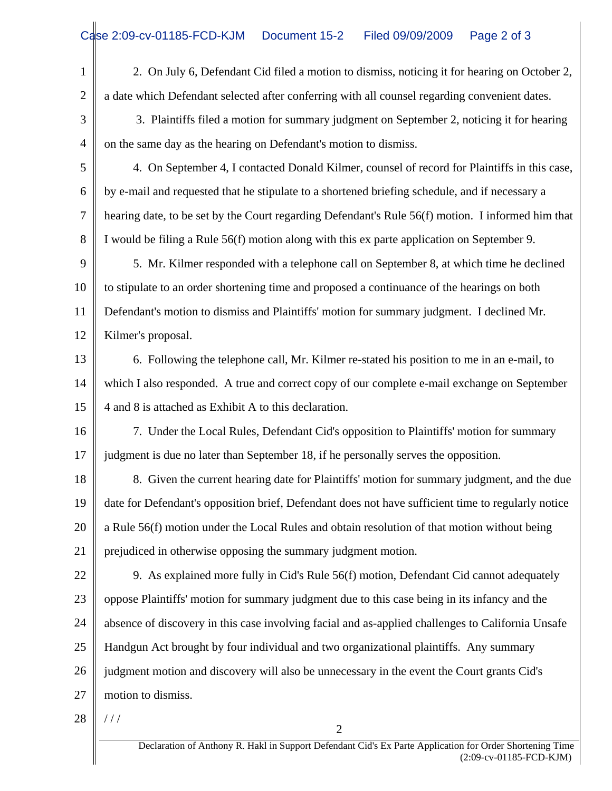1 2 2. On July 6, Defendant Cid filed a motion to dismiss, noticing it for hearing on October 2, a date which Defendant selected after conferring with all counsel regarding convenient dates.

3 4 3. Plaintiffs filed a motion for summary judgment on September 2, noticing it for hearing on the same day as the hearing on Defendant's motion to dismiss.

5 6 7 8 4. On September 4, I contacted Donald Kilmer, counsel of record for Plaintiffs in this case, by e-mail and requested that he stipulate to a shortened briefing schedule, and if necessary a hearing date, to be set by the Court regarding Defendant's Rule 56(f) motion. I informed him that I would be filing a Rule 56(f) motion along with this ex parte application on September 9.

9 10 11 12 5. Mr. Kilmer responded with a telephone call on September 8, at which time he declined to stipulate to an order shortening time and proposed a continuance of the hearings on both Defendant's motion to dismiss and Plaintiffs' motion for summary judgment. I declined Mr. Kilmer's proposal.

13 14 15 6. Following the telephone call, Mr. Kilmer re-stated his position to me in an e-mail, to which I also responded. A true and correct copy of our complete e-mail exchange on September 4 and 8 is attached as Exhibit A to this declaration.

16 17 7. Under the Local Rules, Defendant Cid's opposition to Plaintiffs' motion for summary judgment is due no later than September 18, if he personally serves the opposition.

18 19 20 21 8. Given the current hearing date for Plaintiffs' motion for summary judgment, and the due date for Defendant's opposition brief, Defendant does not have sufficient time to regularly notice a Rule 56(f) motion under the Local Rules and obtain resolution of that motion without being prejudiced in otherwise opposing the summary judgment motion.

22 23 24 25 26 27 9. As explained more fully in Cid's Rule 56(f) motion, Defendant Cid cannot adequately oppose Plaintiffs' motion for summary judgment due to this case being in its infancy and the absence of discovery in this case involving facial and as-applied challenges to California Unsafe Handgun Act brought by four individual and two organizational plaintiffs. Any summary judgment motion and discovery will also be unnecessary in the event the Court grants Cid's motion to dismiss.

28 / / /

2